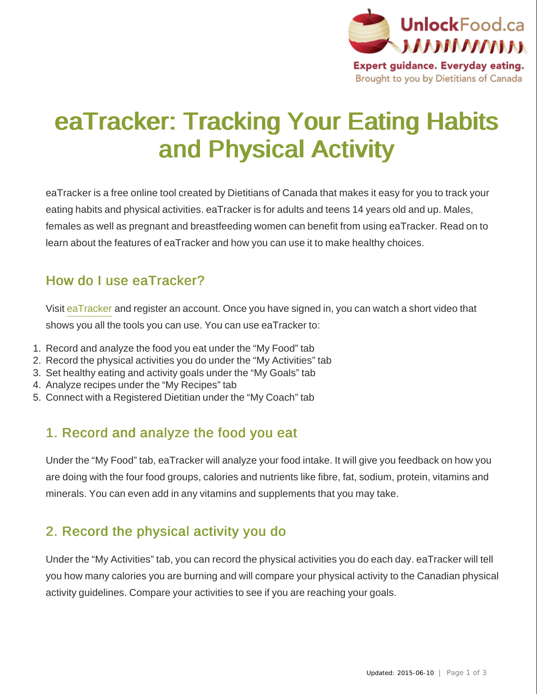

# eaTracker: Tracking Your Eating Habits and Physical Activity

eaTracker is a free online tool created by Dietitians of Canada that makes it easy for you to track your eating habits and physical activities. eaTracker is for adults and teens 14 years old and up. Males, females as well as pregnant and breastfeeding women can benefit from using eaTracker. Read on to learn about the features of eaTracker and how you can use it to make healthy choices.

#### How do I use eaTracker?

Visit [eaTracker](http://www.eatrightontario.ca/en/eaTracker.aspx) and register an account. Once you have signed in, you can watch a short video that shows you all the tools you can use. You can use eaTracker to:

- 1. Record and analyze the food you eat under the "My Food" tab
- 2. Record the physical activities you do under the "My Activities" tab
- 3. Set healthy eating and activity goals under the "My Goals" tab
- 4. Analyze recipes under the "My Recipes" tab
- 5. Connect with a Registered Dietitian under the "My Coach" tab

## 1. Record and analyze the food you eat

Under the "My Food" tab, eaTracker will analyze your food intake. It will give you feedback on how you are doing with the four food groups, calories and nutrients like fibre, fat, sodium, protein, vitamins and minerals. You can even add in any vitamins and supplements that you may take.

# 2. Record the physical activity you do

Under the "My Activities" tab, you can record the physical activities you do each day. eaTracker will tell you how many calories you are burning and will compare your physical activity to the Canadian physical activity guidelines. Compare your activities to see if you are reaching your goals.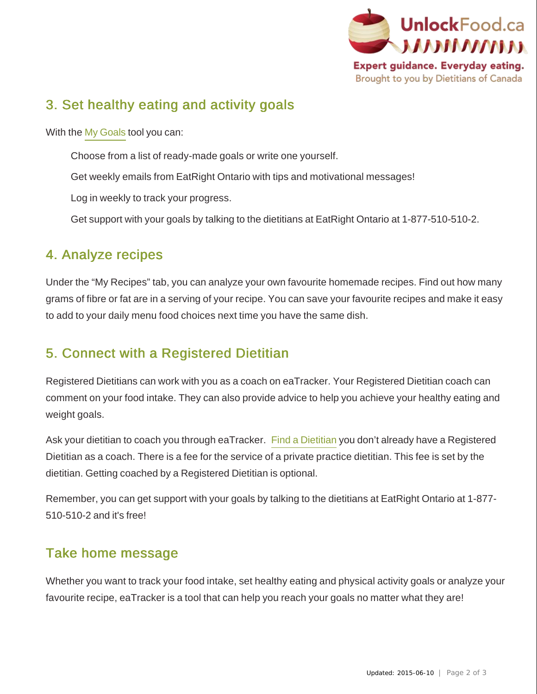

# 3. Set healthy eating and activity goals

With the [My Goals](http://www.eatrightontario.ca/en/eaTracker.aspx) tool you can:

Choose from a list of ready-made goals or write one yourself.

Get weekly emails from EatRight Ontario with tips and motivational messages!

Log in weekly to track your progress.

Get support with your goals by talking to the dietitians at EatRight Ontario at 1-877-510-510-2.

#### 4. Analyze recipes

Under the "My Recipes" tab, you can analyze your own favourite homemade recipes. Find out how many grams of fibre or fat are in a serving of your recipe. You can save your favourite recipes and make it easy to add to your daily menu food choices next time you have the same dish.

# 5. Connect with a Registered Dietitian

Registered Dietitians can work with you as a coach on eaTracker. Your Registered Dietitian coach can comment on your food intake. They can also provide advice to help you achieve your healthy eating and weight goals.

Ask your dietitian to coach you through eaTracker. [Find a Dietitian](http://www.dietitians.ca/Find-A-Dietitian/Search-FAD.aspx) you don't already have a Registered Dietitian as a coach. There is a fee for the service of a private practice dietitian. This fee is set by the dietitian. Getting coached by a Registered Dietitian is optional.

Remember, you can get support with your goals by talking to the dietitians at EatRight Ontario at 1-877- 510-510-2 and it's free!

## Take home message

Whether you want to track your food intake, set healthy eating and physical activity goals or analyze your favourite recipe, eaTracker is a tool that can help you reach your goals no matter what they are!